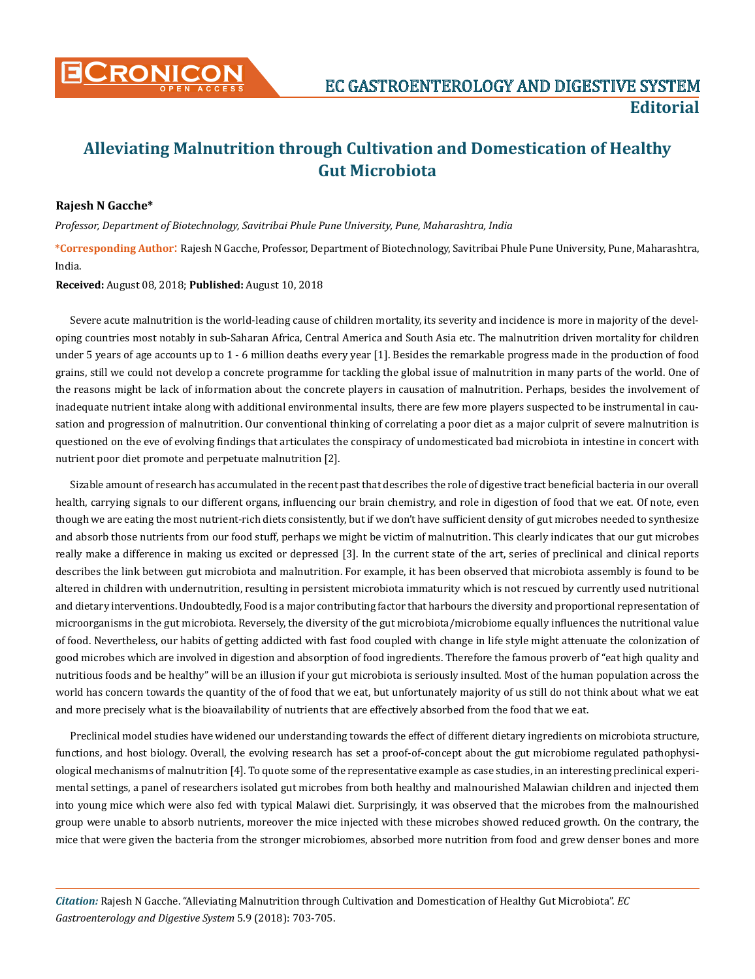

# **Alleviating Malnutrition through Cultivation and Domestication of Healthy Gut Microbiota**

## **Rajesh N Gacche\***

*Professor, Department of Biotechnology, Savitribai Phule Pune University, Pune, Maharashtra, India*

**\*Corresponding Author**: Rajesh N Gacche, Professor, Department of Biotechnology, Savitribai Phule Pune University, Pune, Maharashtra, India.

#### **Received:** August 08, 2018; **Published:** August 10, 2018

Severe acute malnutrition is the world-leading cause of children mortality, its severity and incidence is more in majority of the developing countries most notably in sub-Saharan Africa, Central America and South Asia etc. The malnutrition driven mortality for children under 5 years of age accounts up to 1 - 6 million deaths every year [1]. Besides the remarkable progress made in the production of food grains, still we could not develop a concrete programme for tackling the global issue of malnutrition in many parts of the world. One of the reasons might be lack of information about the concrete players in causation of malnutrition. Perhaps, besides the involvement of inadequate nutrient intake along with additional environmental insults, there are few more players suspected to be instrumental in causation and progression of malnutrition. Our conventional thinking of correlating a poor diet as a major culprit of severe malnutrition is questioned on the eve of evolving findings that articulates the conspiracy of undomesticated bad microbiota in intestine in concert with nutrient poor diet promote and perpetuate malnutrition [2].

Sizable amount of research has accumulated in the recent past that describes the role of digestive tract beneficial bacteria in our overall health, carrying signals to our different organs, influencing our brain chemistry, and role in digestion of food that we eat. Of note, even though we are eating the most nutrient-rich diets consistently, but if we don't have sufficient density of gut microbes needed to synthesize and absorb those nutrients from our food stuff, perhaps we might be victim of malnutrition. This clearly indicates that our gut microbes really make a difference in making us excited or depressed [3]. In the current state of the art, series of preclinical and clinical reports describes the link between gut microbiota and malnutrition. For example, it has been observed that microbiota assembly is found to be altered in children with undernutrition, resulting in persistent microbiota immaturity which is not rescued by currently used nutritional and dietary interventions. Undoubtedly, Food is a major contributing factor that harbours the diversity and proportional representation of microorganisms in the gut microbiota. Reversely, the diversity of the gut microbiota/microbiome equally influences the nutritional value of food. Nevertheless, our habits of getting addicted with fast food coupled with change in life style might attenuate the colonization of good microbes which are involved in digestion and absorption of food ingredients. Therefore the famous proverb of "eat high quality and nutritious foods and be healthy" will be an illusion if your gut microbiota is seriously insulted. Most of the human population across the world has concern towards the quantity of the of food that we eat, but unfortunately majority of us still do not think about what we eat and more precisely what is the bioavailability of nutrients that are effectively absorbed from the food that we eat.

Preclinical model studies have widened our understanding towards the effect of different dietary ingredients on microbiota structure, functions, and host biology. Overall, the evolving research has set a proof-of-concept about the gut microbiome regulated pathophysiological mechanisms of malnutrition [4]. To quote some of the representative example as case studies, in an interesting preclinical experimental settings, a panel of researchers isolated gut microbes from both healthy and malnourished Malawian children and injected them into young mice which were also fed with typical Malawi diet. Surprisingly, it was observed that the microbes from the malnourished group were unable to absorb nutrients, moreover the mice injected with these microbes showed reduced growth. On the contrary, the mice that were given the bacteria from the stronger microbiomes, absorbed more nutrition from food and grew denser bones and more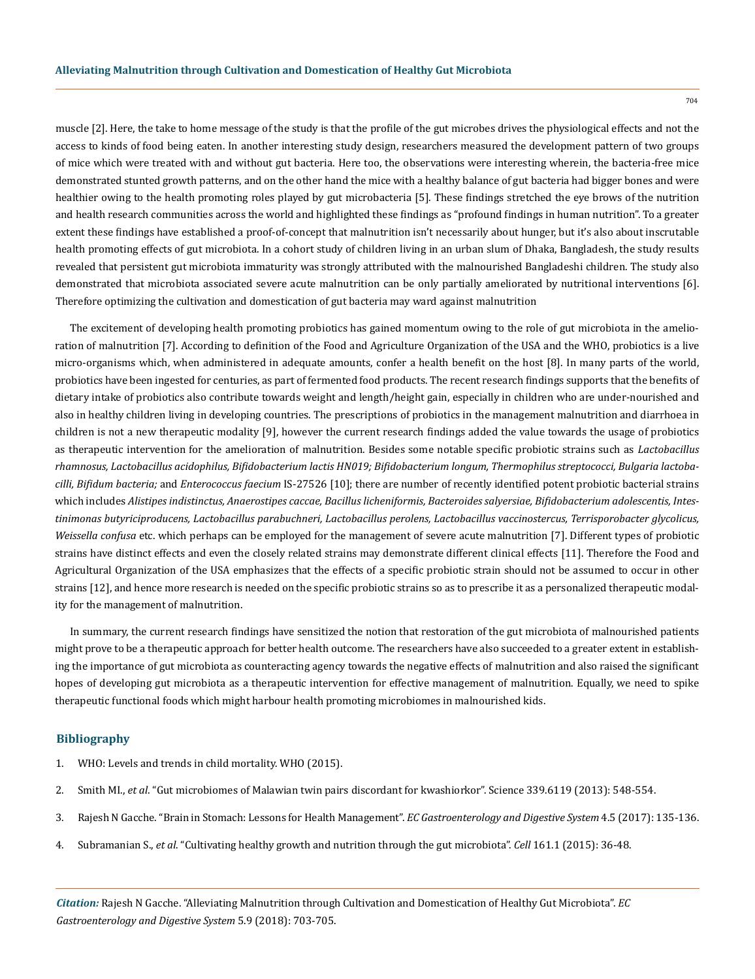muscle [2]. Here, the take to home message of the study is that the profile of the gut microbes drives the physiological effects and not the access to kinds of food being eaten. In another interesting study design, researchers measured the development pattern of two groups of mice which were treated with and without gut bacteria. Here too, the observations were interesting wherein, the bacteria-free mice demonstrated stunted growth patterns, and on the other hand the mice with a healthy balance of gut bacteria had bigger bones and were healthier owing to the health promoting roles played by gut microbacteria [5]. These findings stretched the eye brows of the nutrition and health research communities across the world and highlighted these findings as "profound findings in human nutrition". To a greater extent these findings have established a proof-of-concept that malnutrition isn't necessarily about hunger, but it's also about inscrutable health promoting effects of gut microbiota. In a cohort study of children living in an urban slum of Dhaka, Bangladesh, the study results revealed that persistent gut microbiota immaturity was strongly attributed with the malnourished Bangladeshi children. The study also demonstrated that microbiota associated severe acute malnutrition can be only partially ameliorated by nutritional interventions [6]. Therefore optimizing the cultivation and domestication of gut bacteria may ward against malnutrition

The excitement of developing health promoting probiotics has gained momentum owing to the role of gut microbiota in the amelioration of malnutrition [7]. According to definition of the Food and Agriculture Organization of the USA and the WHO, probiotics is a live micro-organisms which, when administered in adequate amounts, confer a health benefit on the host [8]. In many parts of the world, probiotics have been ingested for centuries, as part of fermented food products. The recent research findings supports that the benefits of dietary intake of probiotics also contribute towards weight and length/height gain, especially in children who are under-nourished and also in healthy children living in developing countries. The prescriptions of probiotics in the management malnutrition and diarrhoea in children is not a new therapeutic modality [9], however the current research findings added the value towards the usage of probiotics as therapeutic intervention for the amelioration of malnutrition. Besides some notable specific probiotic strains such as *Lactobacillus rhamnosus, Lactobacillus acidophilus, Bifidobacterium lactis HN019; Bifidobacterium longum, Thermophilus streptococci, Bulgaria lactobacilli, Bifidum bacteria;* and *Enterococcus faecium* IS-27526 [10]; there are number of recently identified potent probiotic bacterial strains which includes *Alistipes indistinctus, Anaerostipes caccae, Bacillus licheniformis, Bacteroides salyersiae, Bifidobacterium adolescentis, Intestinimonas butyriciproducens, Lactobacillus parabuchneri, Lactobacillus perolens, Lactobacillus vaccinostercus, Terrisporobacter glycolicus, Weissella confusa* etc. which perhaps can be employed for the management of severe acute malnutrition [7]. Different types of probiotic strains have distinct effects and even the closely related strains may demonstrate different clinical effects [11]. Therefore the Food and Agricultural Organization of the USA emphasizes that the effects of a specific probiotic strain should not be assumed to occur in other strains [12], and hence more research is needed on the specific probiotic strains so as to prescribe it as a personalized therapeutic modality for the management of malnutrition.

In summary, the current research findings have sensitized the notion that restoration of the gut microbiota of malnourished patients might prove to be a therapeutic approach for better health outcome. The researchers have also succeeded to a greater extent in establishing the importance of gut microbiota as counteracting agency towards the negative effects of malnutrition and also raised the significant hopes of developing gut microbiota as a therapeutic intervention for effective management of malnutrition. Equally, we need to spike therapeutic functional foods which might harbour health promoting microbiomes in malnourished kids.

## **Bibliography**

- 1. [WHO: Levels and trends in child mortality. WHO \(2015\).](http://www.who.int/maternal_child_adolescent/documents/levels_trends_child_mortality_2015/en/)
- 2. Smith MI., *et al*[. "Gut microbiomes of Malawian twin pairs discordant for kwashiorkor". Science 339.6119 \(2013\): 548-554.](https://www.ncbi.nlm.nih.gov/pubmed/23363771)
- 3. [Rajesh N Gacche. "Brain in Stomach: Lessons for Health Management".](https://www.ecronicon.com/ecgds/pdf/ECGDS-04-00134.pdf) *EC Gastroenterology and Digestive System* 4.5 (2017): 135-136.
- 4. Subramanian S., *et al*[. "Cultivating healthy growth and nutrition through the gut microbiota".](https://www.ncbi.nlm.nih.gov/pubmed/25815983) *Cell* 161.1 (2015): 36-48.

*Citation:* Rajesh N Gacche. "Alleviating Malnutrition through Cultivation and Domestication of Healthy Gut Microbiota". *EC Gastroenterology and Digestive System* 5.9 (2018): 703-705.